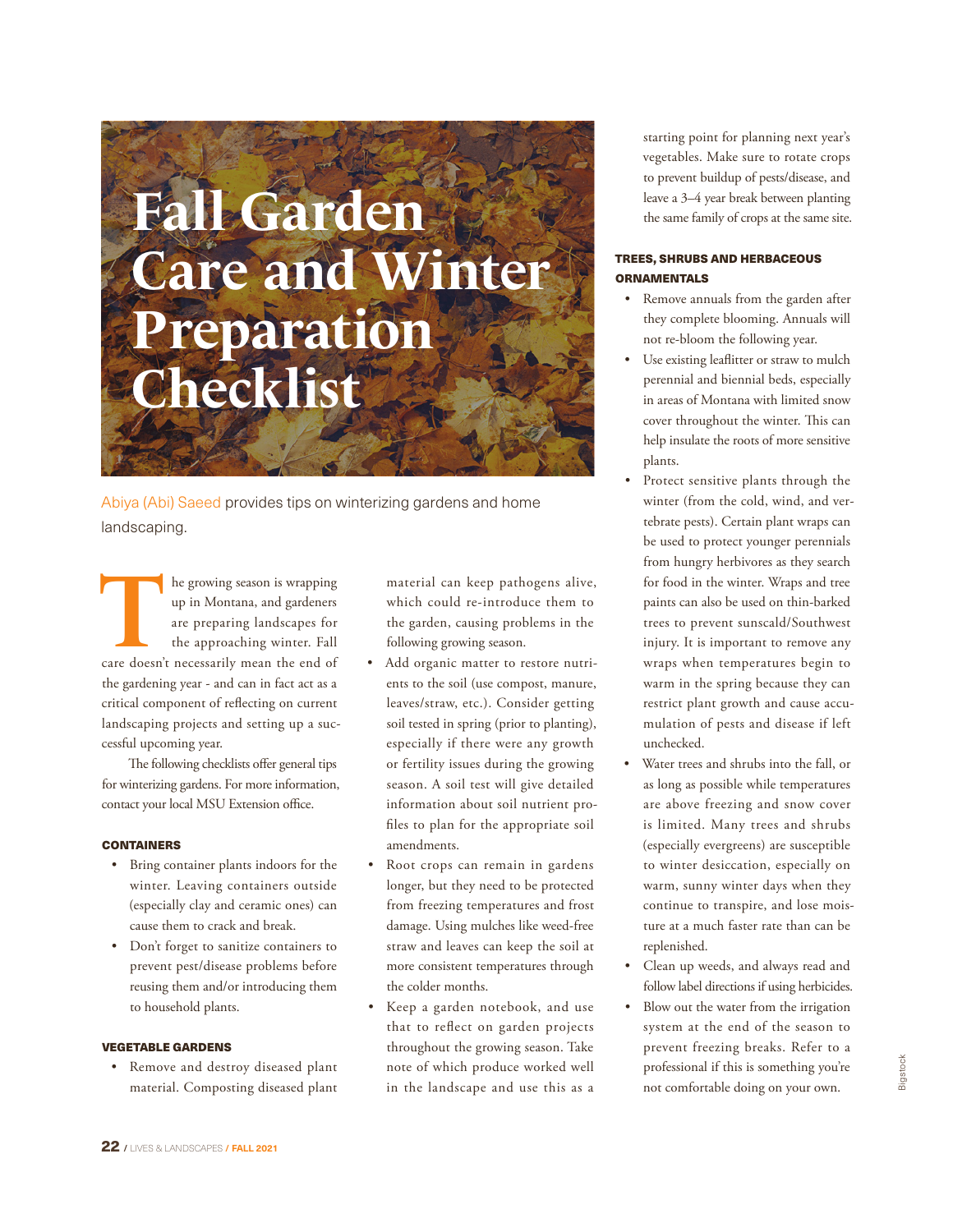# **Fall Garden Care and Winter Preparation Checklist**

Abiya (Abi) Saeed provides tips on winterizing gardens and home landscaping.

The growing season is wrapping<br>
up in Montana, and gardeners<br>
are preparing landscapes for<br>
the approaching winter. Fall<br>
care doesn't necessarily mean the end of up in Montana, and gardeners are preparing landscapes for the approaching winter. Fall the gardening year - and can in fact act as a critical component of reflecting on current landscaping projects and setting up a successful upcoming year.

The following checklists offer general tips for winterizing gardens. For more information, contact your local MSU Extension office.

# **CONTAINERS**

- Bring container plants indoors for the winter. Leaving containers outside (especially clay and ceramic ones) can cause them to crack and break.
- Don't forget to sanitize containers to prevent pest/disease problems before reusing them and/or introducing them to household plants.

# VEGETABLE GARDENS

• Remove and destroy diseased plant material. Composting diseased plant

material can keep pathogens alive, which could re-introduce them to the garden, causing problems in the following growing season.

- Add organic matter to restore nutrients to the soil (use compost, manure, leaves/straw, etc.). Consider getting soil tested in spring (prior to planting), especially if there were any growth or fertility issues during the growing season. A soil test will give detailed information about soil nutrient profiles to plan for the appropriate soil amendments.
- Root crops can remain in gardens longer, but they need to be protected from freezing temperatures and frost damage. Using mulches like weed-free straw and leaves can keep the soil at more consistent temperatures through the colder months.
- Keep a garden notebook, and use that to reflect on garden projects throughout the growing season. Take note of which produce worked well in the landscape and use this as a

starting point for planning next year's vegetables. Make sure to rotate crops to prevent buildup of pests/disease, and leave a 3–4 year break between planting the same family of crops at the same site.

# TREES, SHRUBS AND HERBACEOUS ORNAMENTALS

- Remove annuals from the garden after they complete blooming. Annuals will not re-bloom the following year.
- Use existing leaflitter or straw to mulch perennial and biennial beds, especially in areas of Montana with limited snow cover throughout the winter. This can help insulate the roots of more sensitive plants.
- Protect sensitive plants through the winter (from the cold, wind, and vertebrate pests). Certain plant wraps can be used to protect younger perennials from hungry herbivores as they search for food in the winter. Wraps and tree paints can also be used on thin-barked trees to prevent sunscald/Southwest injury. It is important to remove any wraps when temperatures begin to warm in the spring because they can restrict plant growth and cause accumulation of pests and disease if left unchecked.
- Water trees and shrubs into the fall, or as long as possible while temperatures are above freezing and snow cover is limited. Many trees and shrubs (especially evergreens) are susceptible to winter desiccation, especially on warm, sunny winter days when they continue to transpire, and lose moisture at a much faster rate than can be replenished.
- Clean up weeds, and always read and follow label directions if using herbicides.
- Blow out the water from the irrigation system at the end of the season to prevent freezing breaks. Refer to a professional if this is something you're not comfortable doing on your own.